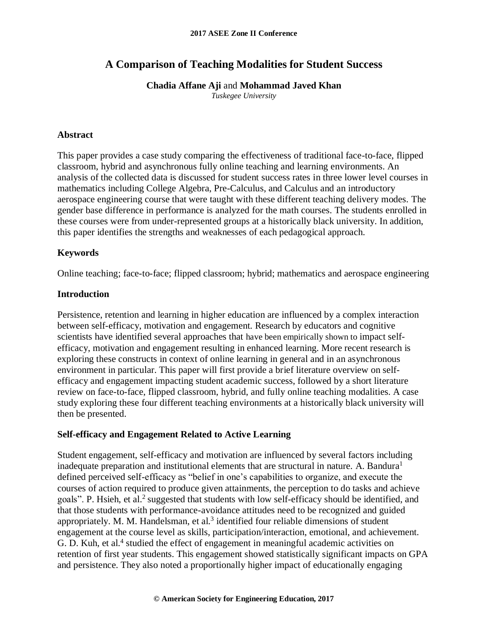# **A Comparison of Teaching Modalities for Student Success**

### **Chadia Affane Aji** and **Mohammad Javed Khan**

*Tuskegee University*

### **Abstract**

This paper provides a case study comparing the effectiveness of traditional face-to-face, flipped classroom, hybrid and asynchronous fully online teaching and learning environments. An analysis of the collected data is discussed for student success rates in three lower level courses in mathematics including College Algebra, Pre-Calculus, and Calculus and an introductory aerospace engineering course that were taught with these different teaching delivery modes. The gender base difference in performance is analyzed for the math courses. The students enrolled in these courses were from under-represented groups at a historically black university. In addition, this paper identifies the strengths and weaknesses of each pedagogical approach.

### **Keywords**

Online teaching; face-to-face; flipped classroom; hybrid; mathematics and aerospace engineering

### **Introduction**

Persistence, retention and learning in higher education are influenced by a complex interaction between self-efficacy, motivation and engagement. Research by educators and cognitive scientists have identified several approaches that have been empirically shown to impact selfefficacy, motivation and engagement resulting in enhanced learning. More recent research is exploring these constructs in context of online learning in general and in an asynchronous environment in particular. This paper will first provide a brief literature overview on selfefficacy and engagement impacting student academic success, followed by a short literature review on face-to-face, flipped classroom, hybrid, and fully online teaching modalities. A case study exploring these four different teaching environments at a historically black university will then be presented.

## **Self-efficacy and Engagement Related to Active Learning**

Student engagement, self-efficacy and motivation are influenced by several factors including inadequate preparation and institutional elements that are structural in nature. A. Bandura<sup>1</sup> defined perceived self-efficacy as "belief in one's capabilities to organize, and execute the courses of action required to produce given attainments, the perception to do tasks and achieve goals". P. Hsieh, et al.<sup>2</sup> suggested that students with low self-efficacy should be identified, and that those students with performance-avoidance attitudes need to be recognized and guided appropriately. M. M. Handelsman, et al. $3$  identified four reliable dimensions of student engagement at the course level as skills, participation/interaction, emotional, and achievement. G. D. Kuh, et al.<sup>4</sup> studied the effect of engagement in meaningful academic activities on retention of first year students. This engagement showed statistically significant impacts on GPA and persistence. They also noted a proportionally higher impact of educationally engaging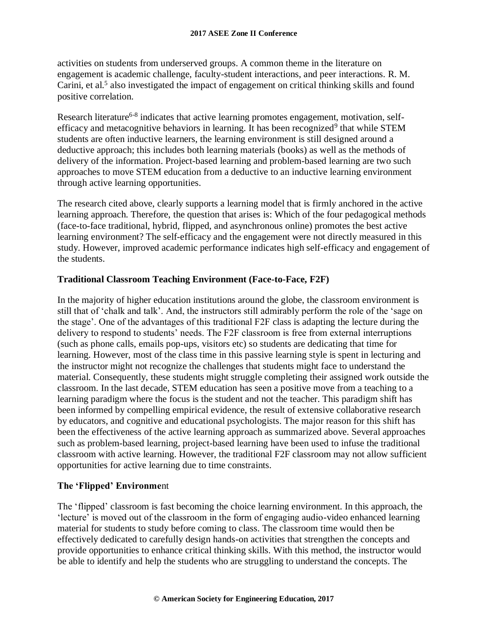activities on students from underserved groups. A common theme in the literature on engagement is academic challenge, faculty-student interactions, and peer interactions. R. M. Carini, et al.<sup>5</sup> also investigated the impact of engagement on critical thinking skills and found positive correlation.

Research literature<sup>6-8</sup> indicates that active learning promotes engagement, motivation, selfefficacy and metacognitive behaviors in learning. It has been recognized<sup>9</sup> that while STEM students are often inductive learners, the learning environment is still designed around a deductive approach; this includes both learning materials (books) as well as the methods of delivery of the information. Project-based learning and problem-based learning are two such approaches to move STEM education from a deductive to an inductive learning environment through active learning opportunities.

The research cited above, clearly supports a learning model that is firmly anchored in the active learning approach. Therefore, the question that arises is: Which of the four pedagogical methods (face-to-face traditional, hybrid, flipped, and asynchronous online) promotes the best active learning environment? The self-efficacy and the engagement were not directly measured in this study. However, improved academic performance indicates high self-efficacy and engagement of the students.

## **Traditional Classroom Teaching Environment (Face-to-Face, F2F)**

In the majority of higher education institutions around the globe, the classroom environment is still that of 'chalk and talk'. And, the instructors still admirably perform the role of the 'sage on the stage'. One of the advantages of this traditional F2F class is adapting the lecture during the delivery to respond to students' needs. The F2F classroom is free from external interruptions (such as phone calls, emails pop-ups, visitors etc) so students are dedicating that time for learning. However, most of the class time in this passive learning style is spent in lecturing and the instructor might not recognize the challenges that students might face to understand the material. Consequently, these students might struggle completing their assigned work outside the classroom. In the last decade, STEM education has seen a positive move from a teaching to a learning paradigm where the focus is the student and not the teacher. This paradigm shift has been informed by compelling empirical evidence, the result of extensive collaborative research by educators, and cognitive and educational psychologists. The major reason for this shift has been the effectiveness of the active learning approach as summarized above. Several approaches such as problem-based learning, project-based learning have been used to infuse the traditional classroom with active learning. However, the traditional F2F classroom may not allow sufficient opportunities for active learning due to time constraints.

## **The 'Flipped' Environme**nt

The 'flipped' classroom is fast becoming the choice learning environment. In this approach, the 'lecture' is moved out of the classroom in the form of engaging audio-video enhanced learning material for students to study before coming to class. The classroom time would then be effectively dedicated to carefully design hands-on activities that strengthen the concepts and provide opportunities to enhance critical thinking skills. With this method, the instructor would be able to identify and help the students who are struggling to understand the concepts. The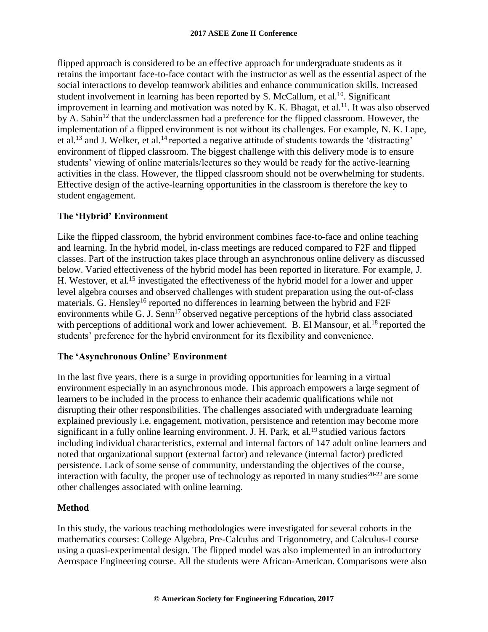flipped approach is considered to be an effective approach for undergraduate students as it retains the important face-to-face contact with the instructor as well as the essential aspect of the social interactions to develop teamwork abilities and enhance communication skills. Increased student involvement in learning has been reported by S. McCallum, et al.<sup>10</sup>. Significant improvement in learning and motivation was noted by K. K. Bhagat, et al.<sup>11</sup>. It was also observed by A. Sahin<sup>12</sup> that the underclassmen had a preference for the flipped classroom. However, the implementation of a flipped environment is not without its challenges. For example, N. K. Lape, et al.<sup>13</sup> and J. Welker, et al.<sup>14</sup> reported a negative attitude of students towards the 'distracting' environment of flipped classroom. The biggest challenge with this delivery mode is to ensure students' viewing of online materials/lectures so they would be ready for the active-learning activities in the class. However, the flipped classroom should not be overwhelming for students. Effective design of the active-learning opportunities in the classroom is therefore the key to student engagement.

## **The 'Hybrid' Environment**

Like the flipped classroom, the hybrid environment combines face-to-face and online teaching and learning. In the hybrid model, in-class meetings are reduced compared to F2F and flipped classes. Part of the instruction takes place through an asynchronous online delivery as discussed below. Varied effectiveness of the hybrid model has been reported in literature. For example, J. H. Westover, et al.<sup>15</sup> investigated the effectiveness of the hybrid model for a lower and upper level algebra courses and observed challenges with student preparation using the out-of-class materials. G. Hensley<sup>16</sup> reported no differences in learning between the hybrid and F2F environments while G. J. Senn<sup>17</sup> observed negative perceptions of the hybrid class associated with perceptions of additional work and lower achievement. B. El Mansour, et al.<sup>18</sup> reported the students' preference for the hybrid environment for its flexibility and convenience.

## **The 'Asynchronous Online' Environment**

In the last five years, there is a surge in providing opportunities for learning in a virtual environment especially in an asynchronous mode. This approach empowers a large segment of learners to be included in the process to enhance their academic qualifications while not disrupting their other responsibilities. The challenges associated with undergraduate learning explained previously i.e. engagement, motivation, persistence and retention may become more significant in a fully online learning environment. J. H. Park, et al.<sup>19</sup> studied various factors including individual characteristics, external and internal factors of 147 adult online learners and noted that organizational support (external factor) and relevance (internal factor) predicted persistence. Lack of some sense of community, understanding the objectives of the course, interaction with faculty, the proper use of technology as reported in many studies<sup>20-22</sup> are some other challenges associated with online learning.

## **Method**

In this study, the various teaching methodologies were investigated for several cohorts in the mathematics courses: College Algebra, Pre-Calculus and Trigonometry, and Calculus-I course using a quasi-experimental design. The flipped model was also implemented in an introductory Aerospace Engineering course. All the students were African-American. Comparisons were also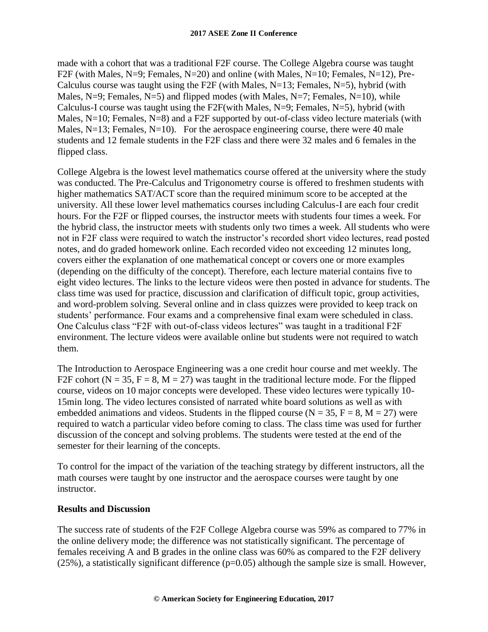made with a cohort that was a traditional F2F course. The College Algebra course was taught F2F (with Males, N=9; Females, N=20) and online (with Males, N=10; Females, N=12), Pre-Calculus course was taught using the F2F (with Males,  $N=13$ ; Females,  $N=5$ ), hybrid (with Males,  $N=9$ ; Females,  $N=5$ ) and flipped modes (with Males,  $N=7$ ; Females,  $N=10$ ), while Calculus-I course was taught using the F2F(with Males,  $N=9$ ; Females,  $N=5$ ), hybrid (with Males, N=10; Females, N=8) and a F2F supported by out-of-class video lecture materials (with Males, N=13; Females, N=10). For the aerospace engineering course, there were 40 male students and 12 female students in the F2F class and there were 32 males and 6 females in the flipped class.

College Algebra is the lowest level mathematics course offered at the university where the study was conducted. The Pre-Calculus and Trigonometry course is offered to freshmen students with higher mathematics SAT/ACT score than the required minimum score to be accepted at the university. All these lower level mathematics courses including Calculus-I are each four credit hours. For the F2F or flipped courses, the instructor meets with students four times a week. For the hybrid class, the instructor meets with students only two times a week. All students who were not in F2F class were required to watch the instructor's recorded short video lectures, read posted notes, and do graded homework online. Each recorded video not exceeding 12 minutes long, covers either the explanation of one mathematical concept or covers one or more examples (depending on the difficulty of the concept). Therefore, each lecture material contains five to eight video lectures. The links to the lecture videos were then posted in advance for students. The class time was used for practice, discussion and clarification of difficult topic, group activities, and word-problem solving. Several online and in class quizzes were provided to keep track on students' performance. Four exams and a comprehensive final exam were scheduled in class. One Calculus class "F2F with out-of-class videos lectures" was taught in a traditional F2F environment. The lecture videos were available online but students were not required to watch them.

The Introduction to Aerospace Engineering was a one credit hour course and met weekly. The F2F cohort ( $N = 35$ ,  $F = 8$ ,  $M = 27$ ) was taught in the traditional lecture mode. For the flipped course, videos on 10 major concepts were developed. These video lectures were typically 10- 15min long. The video lectures consisted of narrated white board solutions as well as with embedded animations and videos. Students in the flipped course ( $N = 35$ ,  $F = 8$ ,  $M = 27$ ) were required to watch a particular video before coming to class. The class time was used for further discussion of the concept and solving problems. The students were tested at the end of the semester for their learning of the concepts.

To control for the impact of the variation of the teaching strategy by different instructors, all the math courses were taught by one instructor and the aerospace courses were taught by one instructor.

## **Results and Discussion**

The success rate of students of the F2F College Algebra course was 59% as compared to 77% in the online delivery mode; the difference was not statistically significant. The percentage of females receiving A and B grades in the online class was 60% as compared to the F2F delivery  $(25\%)$ , a statistically significant difference  $(p=0.05)$  although the sample size is small. However,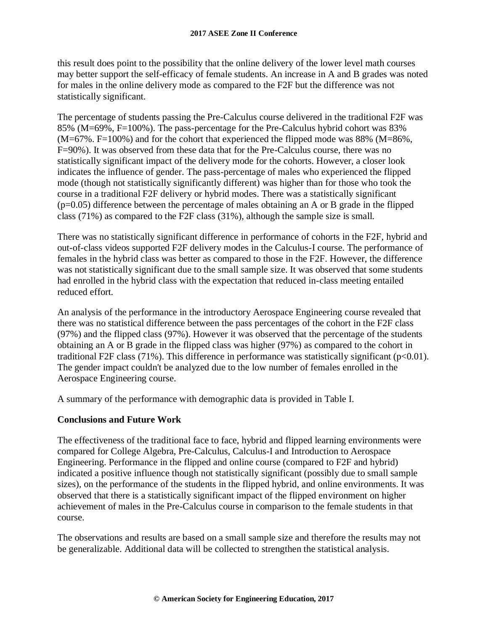this result does point to the possibility that the online delivery of the lower level math courses may better support the self-efficacy of female students. An increase in A and B grades was noted for males in the online delivery mode as compared to the F2F but the difference was not statistically significant.

The percentage of students passing the Pre-Calculus course delivered in the traditional F2F was 85% (M=69%, F=100%). The pass-percentage for the Pre-Calculus hybrid cohort was 83%  $(M=67\%$ . F=100%) and for the cohort that experienced the flipped mode was 88% (M=86%, F=90%). It was observed from these data that for the Pre-Calculus course, there was no statistically significant impact of the delivery mode for the cohorts. However, a closer look indicates the influence of gender. The pass-percentage of males who experienced the flipped mode (though not statistically significantly different) was higher than for those who took the course in a traditional F2F delivery or hybrid modes. There was a statistically significant  $(p=0.05)$  difference between the percentage of males obtaining an A or B grade in the flipped class (71%) as compared to the F2F class (31%), although the sample size is small.

There was no statistically significant difference in performance of cohorts in the F2F, hybrid and out-of-class videos supported F2F delivery modes in the Calculus-I course. The performance of females in the hybrid class was better as compared to those in the F2F. However, the difference was not statistically significant due to the small sample size. It was observed that some students had enrolled in the hybrid class with the expectation that reduced in-class meeting entailed reduced effort.

An analysis of the performance in the introductory Aerospace Engineering course revealed that there was no statistical difference between the pass percentages of the cohort in the F2F class (97%) and the flipped class (97%). However it was observed that the percentage of the students obtaining an A or B grade in the flipped class was higher (97%) as compared to the cohort in traditional F2F class (71%). This difference in performance was statistically significant ( $p<0.01$ ). The gender impact couldn't be analyzed due to the low number of females enrolled in the Aerospace Engineering course.

A summary of the performance with demographic data is provided in Table I.

## **Conclusions and Future Work**

The effectiveness of the traditional face to face, hybrid and flipped learning environments were compared for College Algebra, Pre-Calculus, Calculus-I and Introduction to Aerospace Engineering. Performance in the flipped and online course (compared to F2F and hybrid) indicated a positive influence though not statistically significant (possibly due to small sample sizes), on the performance of the students in the flipped hybrid, and online environments. It was observed that there is a statistically significant impact of the flipped environment on higher achievement of males in the Pre-Calculus course in comparison to the female students in that course.

The observations and results are based on a small sample size and therefore the results may not be generalizable. Additional data will be collected to strengthen the statistical analysis.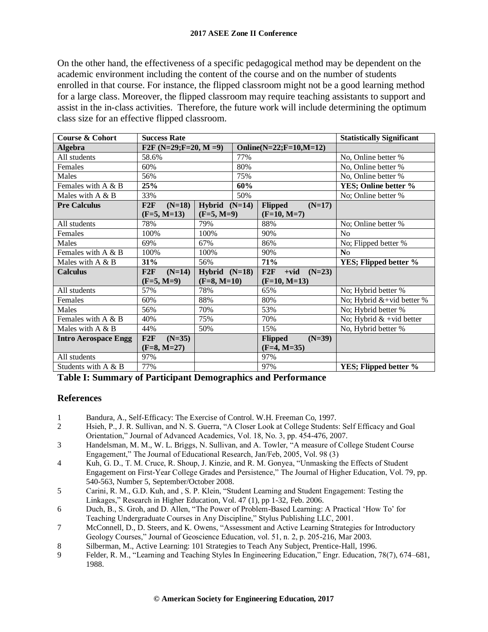On the other hand, the effectiveness of a specific pedagogical method may be dependent on the academic environment including the content of the course and on the number of students enrolled in that course. For instance, the flipped classroom might not be a good learning method for a large class. Moreover, the flipped classroom may require teaching assistants to support and assist in the in-class activities. Therefore, the future work will include determining the optimum class size for an effective flipped classroom.

| <b>Course &amp; Cohort</b>  | <b>Success Rate</b>     |                 |                            |                      | <b>Statistically Significant</b> |                              |
|-----------------------------|-------------------------|-----------------|----------------------------|----------------------|----------------------------------|------------------------------|
| <b>Algebra</b>              | F2F $(N=29; F=20, M=9)$ |                 | $Online(N=22; F=10, M=12)$ |                      |                                  |                              |
| All students                | 58.6%                   |                 | 77%                        |                      |                                  | No, Online better %          |
| Females                     | 60%                     |                 | 80%                        |                      |                                  | No, Online better %          |
| Males                       | 56%                     |                 | 75%                        |                      |                                  | No, Online better %          |
| Females with $A \& B$       | 25%                     |                 | 60%                        |                      | YES; Online better %             |                              |
| Males with $A \& B$         | 33%                     |                 | 50%                        |                      | No; Online better %              |                              |
| <b>Pre Calculus</b>         | $(N=18)$<br>F2F         | Hybrid $(N=14)$ |                            | <b>Flipped</b>       | $(N=17)$                         |                              |
|                             | $(F=5, M=13)$           | $(F=5, M=9)$    |                            | $(F=10, M=7)$        |                                  |                              |
| All students                | 78%                     | 79%             |                            | 88%                  |                                  | No; Online better %          |
| Females                     | 100%                    | 100%            |                            | 90%                  |                                  | N <sub>o</sub>               |
| Males                       | 69%                     | 67%             |                            | 86%                  |                                  | No; Flipped better %         |
| Females with A & B          | 100%                    | 100%            |                            | 90%                  |                                  | N <sub>o</sub>               |
| Males with A & B            | 31%                     | 56%             |                            | 71%                  |                                  | YES; Flipped better %        |
| <b>Calculus</b>             | $(N=14)$<br>F2F         | Hybrid $(N=18)$ |                            | F2F<br>$+vid$ (N=23) |                                  |                              |
|                             | $(F=5, M=9)$            | $(F=8, M=10)$   |                            | $(F=10, M=13)$       |                                  |                              |
| All students                | 57%                     | 78%             |                            | 65%                  |                                  | No; Hybrid better %          |
| Females                     | 60%                     | 88%             |                            | 80%                  |                                  | No; Hybrid $&$ +vid better % |
| Males                       | 56%                     | 70%             |                            | 53%                  |                                  | No; Hybrid better %          |
| Females with A & B          | 40%                     | 75%             |                            | 70%                  |                                  | No; Hybrid $&$ +vid better   |
| Males with A & B            | 44%                     | 50%             |                            | 15%                  |                                  | No, Hybrid better %          |
| <b>Intro Aerospace Engg</b> | F2F<br>$(N=35)$         |                 |                            | <b>Flipped</b>       | $(N=39)$                         |                              |
|                             | $(F=8, M=27)$           |                 |                            | $(F=4, M=35)$        |                                  |                              |
| All students                | 97%                     |                 |                            | 97%                  |                                  |                              |
| Students with A & B         | 77%                     |                 |                            | 97%                  |                                  | YES; Flipped better %        |

**Table I: Summary of Participant Demographics and Performance**

### **References**

- 1 Bandura, A., Self-Efficacy: The Exercise of Control. W.H. Freeman Co, 1997.
- 2 Hsieh, P., J. R. Sullivan, and N. S. Guerra, "A Closer Look at College Students: Self Efficacy and Goal Orientation," Journal of Advanced Academics, Vol. 18, No. 3, pp. 454-476, 2007.
- 3 Handelsman, M. M., W. L. Briggs, N. Sullivan, and A. Towler, "A measure of College Student Course Engagement," The Journal of Educational Research, Jan/Feb, 2005, Vol. 98 (3)
- 4 Kuh, G. D., T. M. Cruce, R. Shoup, J. Kinzie, and R. M. Gonyea, "Unmasking the Effects of Student Engagement on First-Year College Grades and Persistence," The Journal of Higher Education, Vol. 79, pp. 540-563, Number 5, September/October 2008.
- 5 Carini, R. M., G.D. Kuh, and , S. P. Klein, "Student Learning and Student Engagement: Testing the Linkages," Research in Higher Education, Vol. 47 (1), pp 1-32, Feb. 2006.
- 6 Duch, B., S. Groh, and D. Allen, "The Power of Problem-Based Learning: A Practical 'How To' for Teaching Undergraduate Courses in Any Discipline," Stylus Publishing LLC, 2001.
- 7 McConnell, D., D. Steers, and K. Owens, "Assessment and Active Learning Strategies for Introductory Geology Courses," Journal of Geoscience Education, vol. 51, n. 2, p. 205-216, Mar 2003.
- 8 Silberman, M., Active Learning: 101 Strategies to Teach Any Subject, Prentice-Hall, 1996.
- 9 Felder, R. M., "Learning and Teaching Styles In Engineering Education," Engr. Education, 78(7), 674–681, 1988.